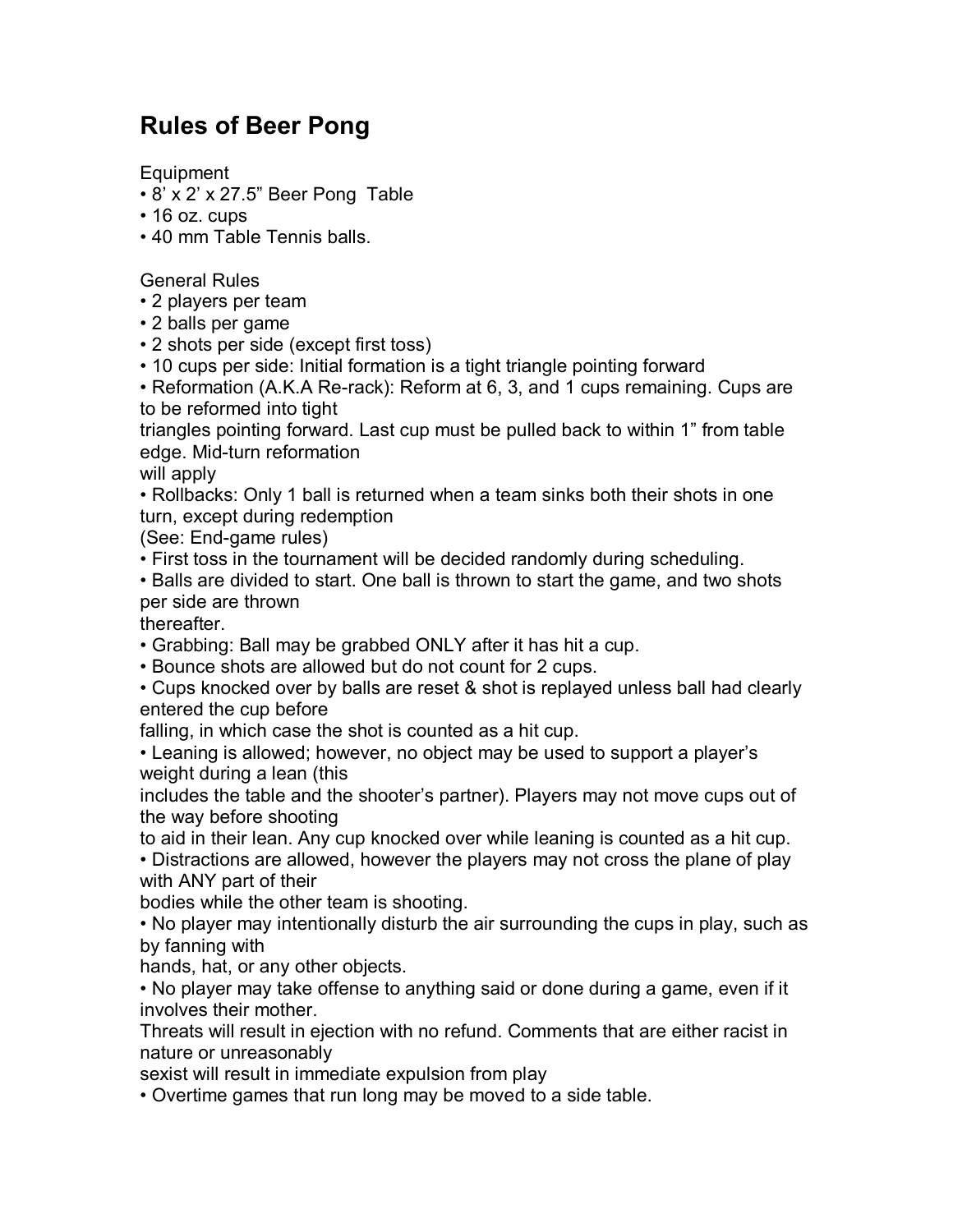## **Rules of Beer Pong**

Equipment

- 8' x 2' x 27.5" Beer Pong Table
- 16 oz. cups
- 40 mm Table Tennis balls.

General Rules

- 2 players per team
- 2 balls per game
- 2 shots per side (except first toss)
- 10 cups per side: Initial formation is a tight triangle pointing forward

• Reformation (A.K.A Re-rack): Reform at 6, 3, and 1 cups remaining. Cups are to be reformed into tight

triangles pointing forward. Last cup must be pulled back to within 1" from table edge. Mid-turn reformation

will apply

• Rollbacks: Only 1 ball is returned when a team sinks both their shots in one turn, except during redemption

(See: End-game rules)

• First toss in the tournament will be decided randomly during scheduling.

• Balls are divided to start. One ball is thrown to start the game, and two shots per side are thrown

thereafter.

• Grabbing: Ball may be grabbed ONLY after it has hit a cup.

• Bounce shots are allowed but do not count for 2 cups.

• Cups knocked over by balls are reset & shot is replayed unless ball had clearly entered the cup before

falling, in which case the shot is counted as a hit cup.

• Leaning is allowed; however, no object may be used to support a player's weight during a lean (this

includes the table and the shooter's partner). Players may not move cups out of the way before shooting

to aid in their lean. Any cup knocked over while leaning is counted as a hit cup.

• Distractions are allowed, however the players may not cross the plane of play with ANY part of their

bodies while the other team is shooting.

• No player may intentionally disturb the air surrounding the cups in play, such as by fanning with

hands, hat, or any other objects.

• No player may take offense to anything said or done during a game, even if it involves their mother.

Threats will result in ejection with no refund. Comments that are either racist in nature or unreasonably

sexist will result in immediate expulsion from play

• Overtime games that run long may be moved to a side table.